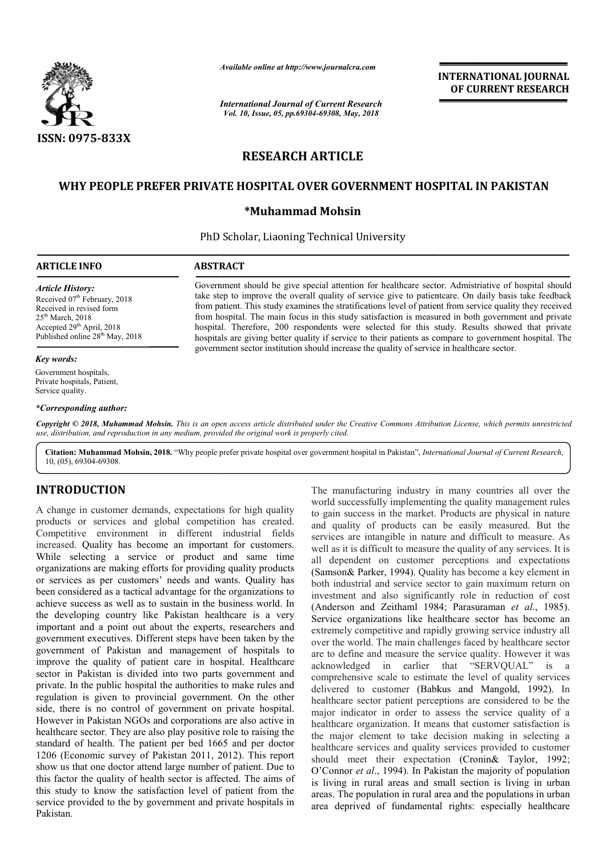

*Available online at http://www.journalcra.com*

*International Journal of Current Research Vol. 10, Issue, 05, pp.69304-69308, May, 2018*

# **INTERNATIONAL JOURNAL OF CURRENT RESEARCH**

# **RESEARCH ARTICLE**

# **WHY PEOPLE PREFER PRIVATE HOSPITAL OVER GOVERNMENT HOSPITAL IN PAKISTAN**

## **\*Muhammad Mohsin**

PhD Scholar, Liaoning Technical University

### **ARTICLE INFO ABSTRACT**

*Article History:* Received 07<sup>th</sup> February, 2018 Received in revised form 25th March, 2018 Accepted 29<sup>th</sup> April, 2018 Published online 28<sup>th</sup> May, 2018

#### *Key words:*

Government hospitals, Private hospitals, Patient, Service quality.

#### *\*Corresponding author:*

Government should be give special attention for healthcare sector. Admistriative of hospital should Government should be give special attention for healthcare sector. Admistriative of hospital should take step to improve the overall quality of service give to patientcare. On daily basis take feedback from patient. This study examines the stratifications level of patient from service quality they received from hospital. The main focus in this study satisfaction is measured in both government and private hospital. Therefore, 200 respondents were selected for this study. Results showed that private hospitals are giving better quality if service to their patients as compare to government hospital. The government sector institution should increase the quality of service in healthcare sector. from patient. This study examines the stratifications level of patient from service<br>from hospital. The main focus in this study satisfaction is measured in both go<br>hospital. Therefore, 200 respondents were selected for thi

Copyright © 2018, Muhammad Mohsin. This is an open access article distributed under the Creative Commons Attribution License, which permits unrestrictea *use, distribution, and reproduction in any medium, provided the original work is properly cited.*

Citation: Muhammad Mohsin, 2018. "Why people prefer private hospital over government hospital in Pakistan", *International Journal of Current Research*, 10, (05), 69304-69308.

# **INTRODUCTION**

A change in customer demands, expectations for high quality products or services and global competition has created. Competitive environment in different industrial fields increased. Quality has become an important for customers. While selecting a service or product and same time organizations are making efforts for providing quality products or services as per customers' needs and wants. Quality has been considered as a tactical advantage for the organizations to achieve success as well as to sustain in the business world. In the developing country like Pakistan healthcare is a very important and a point out about the experts, researchers and government executives. Different steps have been taken by the government of Pakistan and management of hospitals to improve the quality of patient care in hospital. Healthcare sector in Pakistan is divided into two parts government and private. In the public hospital the authorities to make rules and regulation is given to provincial government. On the other side, there is no control of government on private hospital. However in Pakistan NGOs and corporations are also active in healthcare sector. They are also play positive role to raising the standard of health. The patient per bed 1665 and per doctor 1206 (Economic survey of Pakistan 2011, 2012). This report show us that one doctor attend large number of patient. Due to this factor the quality of health sector is affected. The aims of this study to know the satisfaction level of patient from the service provided to the by government and private hospitals in Pakistan.

The manufacturing industry in many countries all over the world successfully implementing the quality management rules to gain success in the market. Products are physical in nature and quality of products can be easily measured. But the services are intangible in nature and difficult to measure. As well as it is difficult to measure the quality of any services. It is all dependent on customer perceptions and expectations world successfully implementing the quality management rules<br>to gain success in the market. Products are physical in nature<br>and quality of products can be easily measured. But the<br>services are intangible in nature and diff both industrial and service sector to gain maximum return on investment and also significantly role in reduction of cost (Anderson and Zeithaml 1984; Parasuraman *et al*., 1985). Service organizations like healthcare sector has become an extremely competitive and rapidly growing service industry all over the world. The main challenges faced by healthcare sector are to define and measure the service quality. However it was acknowledged in earlier that "SERVQUAL" is a extremely competitive and rapidly growing service industry all<br>over the world. The main challenges faced by healthcare sector<br>are to define and measure the service quality. However it was<br>acknowledged in earlier that "SERV delivered to customer (Babkus and Mangold, 1992). In healthcare sector patient perceptions are considered to be the major indicator in order to assess the service quality of a healthcare organization. It means that customer satisfaction is the major element to take decision making in selecting a healthcare services and quality services provided to customer the major element to take decision making in selecting a healthcare services and quality services provided to customer should meet their expectation (Cronin& Taylor, 1992; O'Connor *et al.*, 1994). In Pakistan the majority of population is living in rural areas and small section is living in urban areas. The population in rural area and the populations in urban area deprived of fundamental rights: especially healthcare patient perceptions are considered to be the<br>in order to assess the service quality of a<br>ization. It means that customer satisfaction is **INTERNATIONAL JOURNAL**<br>
FOR EGRECIA **OF CURRENT RESEARCH**<br> **COLUMBER CONTRET CONTREMENT INTERNATION CONTREMENT CONTREMENT CONTREMENT CONTREMENT INTERNATION AS**  $\mu_{ij}$  **of service gristing the policinetizes on daily basis**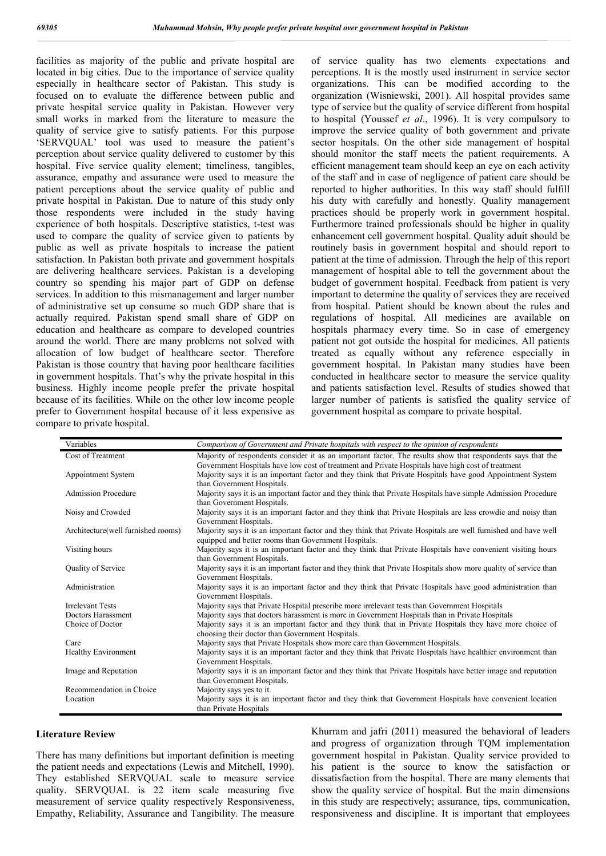facilities as majority of the public and private hospital are located in big cities. Due to the importance of service quality especially in healthcare sector of Pakistan. This study is focused on to evaluate the difference between public and private hospital service quality in Pakistan. However very small works in marked from the literature to measure the quality of service give to satisfy patients. For this purpose 'SERVQUAL' tool was used to measure the patient's perception about service quality delivered to customer by this hospital. Five service quality element; timeliness, tangibles, assurance, empathy and assurance were used to measure the patient perceptions about the service quality of public and private hospital in Pakistan. Due to nature of this study only those respondents were included in the study having experience of both hospitals. Descriptive statistics, t-test was used to compare the quality of service given to patients by public as well as private hospitals to increase the patient satisfaction. In Pakistan both private and government hospitals are delivering healthcare services. Pakistan is a developing country so spending his major part of GDP on defense services. In addition to this mismanagement and larger number of administrative set up consume so much GDP share that is actually required. Pakistan spend small share of GDP on education and healthcare as compare to developed countries around the world. There are many problems not solved with allocation of low budget of healthcare sector. Therefore Pakistan is those country that having poor healthcare facilities in government hospitals. That's why the private hospital in this business. Highly income people prefer the private hospital because of its facilities. While on the other low income people prefer to Government hospital because of it less expensive as compare to private hospital.

of service quality has two elements expectations and perceptions. It is the mostly used instrument in service sector organizations. This can be modified according to the organization (Wisniewski, 2001). All hospital provides same type of service but the quality of service different from hospital to hospital (Youssef *et al*., 1996). It is very compulsory to improve the service quality of both government and private sector hospitals. On the other side management of hospital should monitor the staff meets the patient requirements. A efficient management team should keep an eye on each activity of the staff and in case of negligence of patient care should be reported to higher authorities. In this way staff should fulfill his duty with carefully and honestly. Quality management practices should be properly work in government hospital. Furthermore trained professionals should be higher in quality enhancement cell government hospital. Quality aduit should be routinely basis in government hospital and should report to patient at the time of admission. Through the help of this report management of hospital able to tell the government about the budget of government hospital. Feedback from patient is very important to determine the quality of services they are received from hospital. Patient should be known about the rules and regulations of hospital. All medicines are available on hospitals pharmacy every time. So in case of emergency patient not got outside the hospital for medicines. All patients treated as equally without any reference especially in government hospital. In Pakistan many studies have been conducted in healthcare sector to measure the service quality and patients satisfaction level. Results of studies showed that larger number of patients is satisfied the quality service of government hospital as compare to private hospital.

| Variables                           | Comparison of Government and Private hospitals with respect to the opinion of respondents                       |
|-------------------------------------|-----------------------------------------------------------------------------------------------------------------|
| Cost of Treatment                   | Majority of respondents consider it as an important factor. The results show that respondents says that the     |
|                                     | Government Hospitals have low cost of treatment and Private Hospitals have high cost of treatment               |
| Appointment System                  | Majority says it is an important factor and they think that Private Hospitals have good Appointment System      |
|                                     | than Government Hospitals.                                                                                      |
| <b>Admission Procedure</b>          | Majority says it is an important factor and they think that Private Hospitals have simple Admission Procedure   |
|                                     | than Government Hospitals.                                                                                      |
| Noisy and Crowded                   | Majority says it is an important factor and they think that Private Hospitals are less crowdie and noisy than   |
|                                     | Government Hospitals.                                                                                           |
| Architecture (well furnished rooms) | Majority says it is an important factor and they think that Private Hospitals are well furnished and have well  |
|                                     | equipped and better rooms than Government Hospitals.                                                            |
| Visiting hours                      | Majority says it is an important factor and they think that Private Hospitals have convenient visiting hours    |
|                                     | than Government Hospitals.                                                                                      |
| Quality of Service                  | Majority says it is an important factor and they think that Private Hospitals show more quality of service than |
|                                     | Government Hospitals.                                                                                           |
| Administration                      | Majority says it is an important factor and they think that Private Hospitals have good administration than     |
|                                     | Government Hospitals.                                                                                           |
| <b>Irrelevant Tests</b>             | Majority says that Private Hospital prescribe more irrelevant tests than Government Hospitals                   |
| Doctors Harassment                  | Majority says that doctors harassment is more in Government Hospitals than in Private Hospitals                 |
| Choice of Doctor                    | Majority says it is an important factor and they think that in Private Hospitals they have more choice of       |
|                                     | choosing their doctor than Government Hospitals.                                                                |
| Care                                | Majority says that Private Hospitals show more care than Government Hospitals.                                  |
| <b>Healthy Environment</b>          | Majority says it is an important factor and they think that Private Hospitals have healthier environment than   |
|                                     | Government Hospitals.                                                                                           |
| Image and Reputation                | Majority says it is an important factor and they think that Private Hospitals have better image and reputation  |
|                                     | than Government Hospitals.                                                                                      |
| Recommendation in Choice            | Majority says yes to it.                                                                                        |
| Location                            | Majority says it is an important factor and they think that Government Hospitals have convenient location       |
|                                     | than Private Hospitals                                                                                          |

#### **Literature Review**

There has many definitions but important definition is meeting the patient needs and expectations (Lewis and Mitchell, 1990). They established SERVQUAL scale to measure service quality. SERVQUAL is 22 item scale measuring five measurement of service quality respectively Responsiveness, Empathy, Reliability, Assurance and Tangibility. The measure

Khurram and jafri (2011) measured the behavioral of leaders and progress of organization through TQM implementation government hospital in Pakistan. Quality service provided to his patient is the source to know the satisfaction or dissatisfaction from the hospital. There are many elements that show the quality service of hospital. But the main dimensions in this study are respectively; assurance, tips, communication, responsiveness and discipline. It is important that employees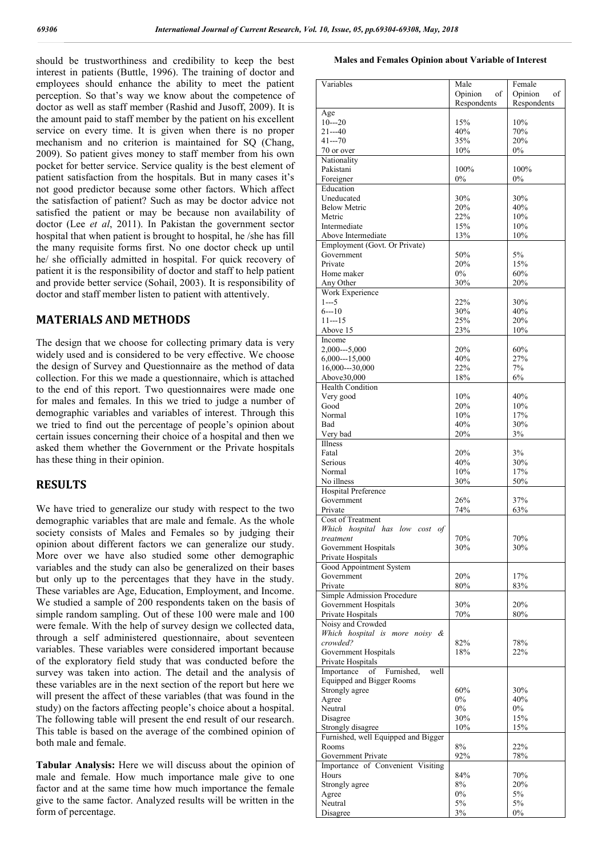should be trustworthiness and credibility to keep the best interest in patients (Buttle, 1996). The training of doctor and employees should enhance the ability to meet the patient perception. So that's way we know about the competence of doctor as well as staff member (Rashid and Jusoff, 2009). It is the amount paid to staff member by the patient on his excellent service on every time. It is given when there is no proper mechanism and no criterion is maintained for SO (Chang, 2009). So patient gives money to staff member from his own pocket for better service. Service quality is the best element of patient satisfaction from the hospitals. But in many cases it's not good predictor because some other factors. Which affect the satisfaction of patient? Such as may be doctor advice not satisfied the patient or may be because non availability of doctor (Lee *et al*, 2011). In Pakistan the government sector hospital that when patient is brought to hospital, he /she has fill the many requisite forms first. No one doctor check up until he/ she officially admitted in hospital. For quick recovery of patient it is the responsibility of doctor and staff to help patient and provide better service (Sohail, 2003). It is responsibility of doctor and staff member listen to patient with attentively.

# **MATERIALS AND METHODS**

The design that we choose for collecting primary data is very widely used and is considered to be very effective. We choose the design of Survey and Questionnaire as the method of data collection. For this we made a questionnaire, which is attached to the end of this report. Two questionnaires were made one for males and females. In this we tried to judge a number of demographic variables and variables of interest. Through this we tried to find out the percentage of people's opinion about certain issues concerning their choice of a hospital and then we asked them whether the Government or the Private hospitals has these thing in their opinion.

# **RESULTS**

We have tried to generalize our study with respect to the two demographic variables that are male and female. As the whole society consists of Males and Females so by judging their opinion about different factors we can generalize our study. More over we have also studied some other demographic variables and the study can also be generalized on their bases but only up to the percentages that they have in the study. These variables are Age, Education, Employment, and Income. We studied a sample of 200 respondents taken on the basis of simple random sampling. Out of these 100 were male and 100 were female. With the help of survey design we collected data, through a self administered questionnaire, about seventeen variables. These variables were considered important because of the exploratory field study that was conducted before the survey was taken into action. The detail and the analysis of these variables are in the next section of the report but here we will present the affect of these variables (that was found in the study) on the factors affecting people's choice about a hospital. The following table will present the end result of our research. This table is based on the average of the combined opinion of both male and female.

**Tabular Analysis:** Here we will discuss about the opinion of male and female. How much importance male give to one factor and at the same time how much importance the female give to the same factor. Analyzed results will be written in the form of percentage.

#### **Males and Females Opinion about Variable of Interest**

| Variables                                          | Male          | Female        |
|----------------------------------------------------|---------------|---------------|
|                                                    | Opinion<br>of | Opinion<br>of |
|                                                    | Respondents   | Respondents   |
| Age<br>$10--20$                                    | 15%           | 10%           |
| $21 - -40$                                         | 40%           | 70%           |
| $41 - -70$                                         | 35%           | 20%           |
| 70 or over                                         | 10%           | $0\%$         |
| Nationality                                        |               |               |
| Pakistani                                          | 100%          | 100%          |
| Foreigner                                          | 0%            | 0%            |
| Education                                          |               |               |
| Uneducated<br><b>Below Metric</b>                  | 30%<br>20%    | 30%<br>40%    |
| Metric                                             | 22%           | 10%           |
| Intermediate                                       | 15%           | 10%           |
| Above Intermediate                                 | 13%           | 10%           |
| Employment (Govt. Or Private)                      |               |               |
| Government                                         | 50%           | 5%            |
| Private                                            | 20%           | 15%           |
| Home maker                                         | 0%            | 60%           |
| Any Other                                          | 30%           | 20%           |
| Work Experience<br>$1--5$                          | 22%           | 30%           |
| $6 - 10$                                           | 30%           | 40%           |
| $11--15$                                           | 25%           | 20%           |
| Above 15                                           | 23%           | 10%           |
| Income                                             |               |               |
| $2,000--5,000$                                     | 20%           | 60%           |
| $6,000--15,000$                                    | 40%           | 27%           |
| 16,000---30,000                                    | 22%           | 7%            |
| Above30,000                                        | 18%           | 6%            |
| <b>Health Condition</b>                            |               |               |
| Very good<br>Good                                  | 10%<br>20%    | 40%<br>10%    |
| Normal                                             | 10%           | 17%           |
| Bad                                                | 40%           | 30%           |
| Very bad                                           | 20%           | 3%            |
| Illness                                            |               |               |
| Fatal                                              | 20%           | 3%            |
| Serious                                            | 40%           | 30%           |
| Normal                                             | 10%           | 17%           |
| No illness                                         | 30%           | 50%           |
| <b>Hospital Preference</b>                         | 26%           | 37%           |
| Government<br>Private                              | 74%           | 63%           |
| Cost of Treatment                                  |               |               |
| Which hospital has low cost<br>of                  |               |               |
| treatment                                          | 70%           | 70%           |
| Government Hospitals                               | 30%           | 30%           |
| Private Hospitals                                  |               |               |
| Good Appointment System                            |               |               |
| Government                                         | 20%           | 17%           |
| Private                                            | 80%           | 83%           |
| Simple Admission Procedure<br>Government Hospitals | 30%           | 20%           |
| Private Hospitals                                  | 70%           | 80%           |
| Noisy and Crowded                                  |               |               |
| Which hospital is more noisy &                     |               |               |
| crowded?                                           | 82%           | 78%           |
| Government Hospitals                               | 18%           | 22%           |
| Private Hospitals                                  |               |               |
| Furnished,<br>of<br>well<br>Importance             |               |               |
| <b>Equipped and Bigger Rooms</b><br>Strongly agree | 60%           | 30%           |
| Agree                                              | $0\%$         | 40%           |
| Neutral                                            | $0\%$         | $0\%$         |
| Disagree                                           | 30%           | 15%           |
| Strongly disagree                                  | 10%           | 15%           |
| Furnished, well Equipped and Bigger                |               |               |
| Rooms                                              | 8%            | 22%           |
| Government Private                                 | 92%           | 78%           |
| Importance of Convenient Visiting                  |               |               |
| Hours<br>Strongly agree                            | 84%<br>8%     | 70%<br>20%    |
| Agree                                              | $0\%$         | 5%            |
| Neutral                                            | 5%            | 5%            |
| Disagree                                           | 3%            | $0\%$         |
|                                                    |               |               |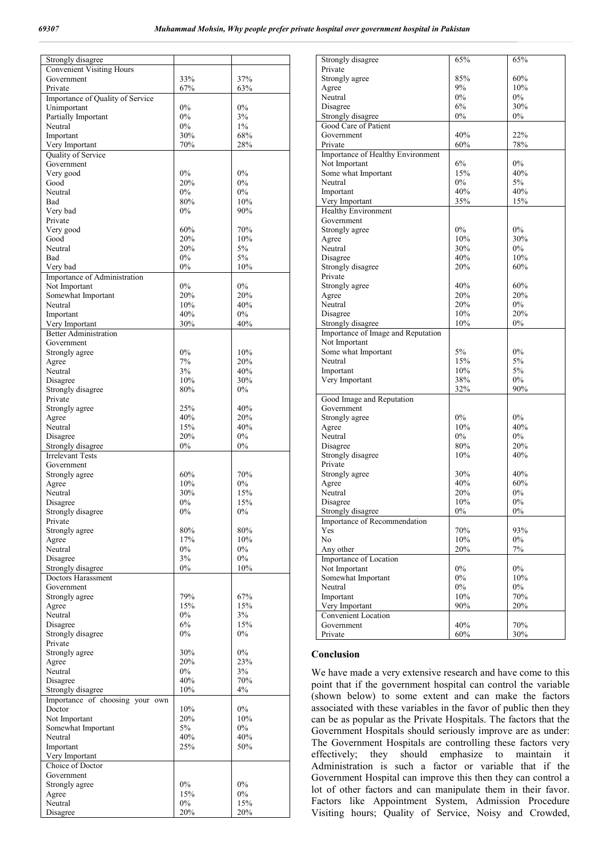| Strongly disagree                |       |        |
|----------------------------------|-------|--------|
| <b>Convenient Visiting Hours</b> |       |        |
| Government                       | 33%   | 37%    |
| Private                          | 67%   | 63%    |
| Importance of Quality of Service |       |        |
| Unimportant                      | $0\%$ | 0%     |
| Partially Important              | $0\%$ | 3%     |
| Neutral                          | $0\%$ | 1%     |
|                                  | 30%   | 68%    |
| Important                        |       |        |
| Very Important                   | 70%   | 28%    |
| Quality of Service               |       |        |
| Government                       |       |        |
| Very good                        | $0\%$ | $0\%$  |
| Good                             | 20%   | $0\%$  |
| Neutral                          | $0\%$ | $0\%$  |
| Bad                              | 80%   | 10%    |
| Very bad                         | $0\%$ | 90%    |
| Private                          |       |        |
| Very good                        | 60%   | 70%    |
| Good                             | 20%   | 10%    |
| Neutral                          | 20%   | 5%     |
| Bad                              | $0\%$ | 5%     |
| Very bad                         | $0\%$ | 10%    |
| Importance of Administration     |       |        |
| Not Important                    | 0%    | 0%     |
| Somewhat Important               | 20%   | 20%    |
| Neutral                          | 10%   | 40%    |
| Important                        | 40%   | $0\%$  |
| Very Important                   | 30%   | 40%    |
| <b>Better Administration</b>     |       |        |
| Government                       |       |        |
| Strongly agree                   | $0\%$ | 10%    |
| Agree                            | 7%    | 20%    |
|                                  | 3%    | 40%    |
| Neutral                          | 10%   | 30%    |
| Disagree                         |       |        |
| Strongly disagree                | 80%   | $0\%$  |
| Private                          |       |        |
| Strongly agree                   | 25%   | 40%    |
| Agree                            | 40%   | 20%    |
| Neutral                          | 15%   | 40%    |
| Disagree                         | 20%   | $0\%$  |
| Strongly disagree                | $0\%$ | $0\%$  |
| <b>Irrelevant Tests</b>          |       |        |
| Government                       |       |        |
| Strongly agree                   | 60%   | 70%    |
| Agree                            | 10%   | $0\%$  |
| Neutral                          | 30%   | 15%    |
| Disagree                         | $0\%$ | 15%    |
| Strongly disagree                | $0\%$ | $0\%$  |
| Private                          |       |        |
| Strongly agree                   | 80%   | 80%    |
| Agree                            | 17%   | 10%    |
| Neutral                          | $0\%$ | $0\%$  |
| Disagree                         | 3%    | $0\%$  |
| Strongly disagree                | $0\%$ | $10\%$ |
| Doctors Harassment               |       |        |
| Government                       |       |        |
|                                  |       |        |
| Strongly agree                   | 79%   | 67%    |
| Agree                            | 15%   | 15%    |
| Neutral                          | $0\%$ | 3%     |
| Disagree                         | 6%    | 15%    |
| Strongly disagree                | $0\%$ | 0%     |
| Private                          |       |        |
| Strongly agree                   | 30%   | $0\%$  |
| Agree                            | 20%   | 23%    |
| Neutral                          | $0\%$ | 3%     |
| Disagree                         | 40%   | 70%    |
| Strongly disagree                | 10%   | 4%     |
| Importance of choosing your own  |       |        |
| Doctor                           | 10%   | $0\%$  |
| Not Important                    | 20%   | 10%    |
| Somewhat Important               | 5%    | $0\%$  |
| Neutral                          | 40%   | 40%    |
| Important                        | 25%   | 50%    |
| Very Important                   |       |        |
| Choice of Doctor                 |       |        |
| Government                       |       |        |
| Strongly agree                   | $0\%$ | $0\%$  |
| Agree                            | 15%   | $0\%$  |
| Neutral                          | $0\%$ | 15%    |
| Disagree                         | 20%   | 20%    |
|                                  |       |        |

| Strongly disagree                  | 65%   | 65%   |
|------------------------------------|-------|-------|
| Private                            |       |       |
| Strongly agree                     | 85%   | 60%   |
| Agree                              | 9%    | 10%   |
| Neutral                            | $0\%$ | $0\%$ |
| Disagree                           | 6%    | 30%   |
| Strongly disagree                  | 0%    | $0\%$ |
| Good Care of Patient               |       |       |
| Government                         | 40%   | 22%   |
| Private                            | 60%   | 78%   |
| Importance of Healthy Environment  |       |       |
| Not Important                      | 6%    | 0%    |
| Some what Important                | 15%   | 40%   |
| Neutral                            | 0%    | 5%    |
| Important                          | 40%   | 40%   |
| Very Important                     | 35%   | 15%   |
| <b>Healthy Environment</b>         |       |       |
| Government                         |       |       |
| Strongly agree                     | 0%    | 0%    |
| Agree                              | 10%   | 30%   |
| Neutral                            | 30%   | $0\%$ |
| Disagree                           | 40%   | 10%   |
| Strongly disagree                  | 20%   | 60%   |
| Private                            |       |       |
| Strongly agree                     | 40%   | 60%   |
| Agree                              | 20%   | 20%   |
| Neutral                            | 20%   | $0\%$ |
| Disagree                           | 10%   | 20%   |
| Strongly disagree                  | 10%   | 0%    |
| Importance of Image and Reputation |       |       |
| Not Important                      |       |       |
| Some what Important                | 5%    | 0%    |
| Neutral                            | 15%   | 5%    |
| Important                          | 10%   | 5%    |
| Very Important                     | 38%   | $0\%$ |
|                                    | 32%   | 90%   |
| Good Image and Reputation          |       |       |
| Government                         |       |       |
| Strongly agree                     | $0\%$ | $0\%$ |
| Agree                              | 10%   | 40%   |
| Neutral                            | $0\%$ | $0\%$ |
| Disagree                           | 80%   | 20%   |
| Strongly disagree<br>Private       | 10%   | 40%   |
|                                    | 30%   | 40%   |
| Strongly agree<br>Agree            | 40%   | 60%   |
| Neutral                            | 20%   | $0\%$ |
| Disagree                           | 10%   | $0\%$ |
| Strongly disagree                  | $0\%$ | $0\%$ |
| Importance of Recommendation       |       |       |
| Yes                                | 70%   | 93%   |
| No                                 | 10%   | $0\%$ |
| Any other                          | 20%   | 7%    |
| Importance of Location             |       |       |
| Not Important                      | $0\%$ | $0\%$ |
| Somewhat Important                 | $0\%$ | 10%   |
| Neutral                            | $0\%$ | $0\%$ |
| Important                          | 10%   | 70%   |
| Very Important                     | 90%   | 20%   |
| <b>Convenient Location</b>         |       |       |
| Government                         | 40%   | 70%   |
| Private                            | 60%   | 30%   |
|                                    |       |       |

### **Conclusion**

We have made a very extensive research and have come to this point that if the government hospital can control the variable (shown below) to some extent and can make the factors associated with these variables in the favor of public then they can be as popular as the Private Hospitals. The factors that the Government Hospitals should seriously improve are as under: The Government Hospitals are controlling these factors very effectively; they should emphasize to maintain it Administration is such a factor or variable that if the Government Hospital can improve this then they can control a lot of other factors and can manipulate them in their favor. Factors like Appointment System, Admission Procedure Visiting hours; Quality of Service, Noisy and Crowded,